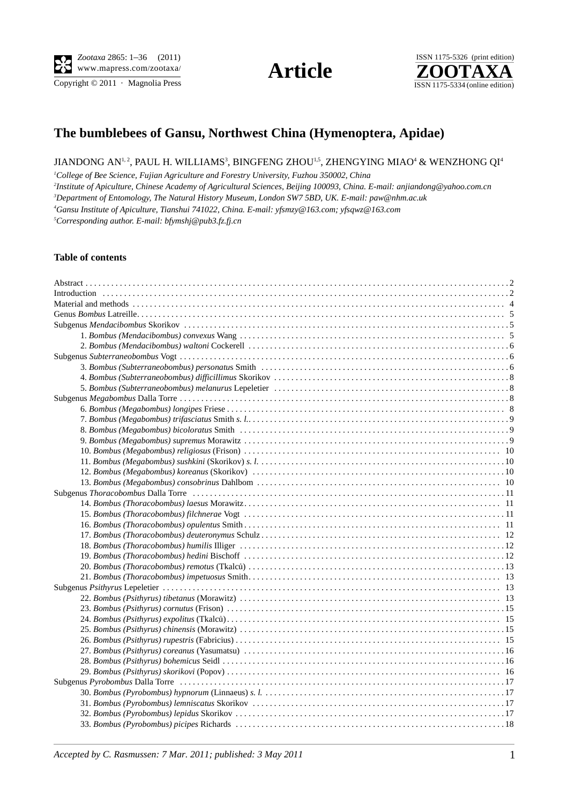$\overline{\text{Copyright} \odot 2011}$  · Magnolia Press





# **The bumblebees of Gansu, Northwest China (Hymenoptera, Apidae)**

#### JIANDONG AN $^{1,2}$ , PAUL H. WILLIAMS $^3$ , BINGFENG ZHOU $^{1,5}$ , ZHENGYING MIAO $^4$  & WENZHONG QI $^4$

 *College of Bee Science, Fujian Agriculture and Forestry University, Fuzhou 350002, China Institute of Apiculture, Chinese Academy of Agricultural Sciences, Beijing 100093, China. E-mail: anjiandong@yahoo.com.cn Department of Entomology, The Natural History Museum, London SW7 5BD, UK. E-mail: paw@nhm.ac.uk Gansu Institute of Apiculture, Tianshui 741022, China. E-mail: yfsmzy@163.com; yfsqwz@163.com Corresponding author. E-mail: bfymshj@pub3.fz.fj.cn*

#### **Table of contents**